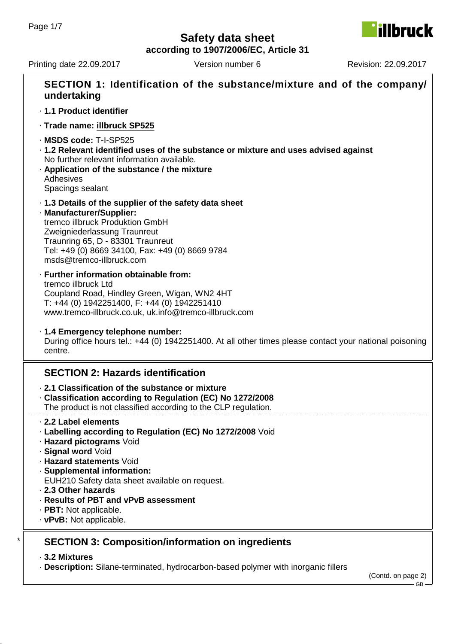**illbruck** 

**according to 1907/2006/EC, Article 31**

Printing date 22.09.2017 Version number 6 Revision: 22.09.2017

| SECTION 1: Identification of the substance/mixture and of the company/<br>undertaking                                                                                                                                                                                                                                                                               |
|---------------------------------------------------------------------------------------------------------------------------------------------------------------------------------------------------------------------------------------------------------------------------------------------------------------------------------------------------------------------|
| · 1.1 Product identifier                                                                                                                                                                                                                                                                                                                                            |
| · Trade name: illbruck SP525                                                                                                                                                                                                                                                                                                                                        |
| MSDS code: T-I-SP525<br>· 1.2 Relevant identified uses of the substance or mixture and uses advised against<br>No further relevant information available.<br>Application of the substance / the mixture<br>Adhesives<br>Spacings sealant                                                                                                                            |
| .1.3 Details of the supplier of the safety data sheet<br>· Manufacturer/Supplier:<br>tremco illbruck Produktion GmbH<br>Zweigniederlassung Traunreut<br>Traunring 65, D - 83301 Traunreut<br>Tel: +49 (0) 8669 34100, Fax: +49 (0) 8669 9784<br>msds@tremco-illbruck.com                                                                                            |
| · Further information obtainable from:<br>tremco illbruck Ltd<br>Coupland Road, Hindley Green, Wigan, WN2 4HT<br>T: +44 (0) 1942251400, F: +44 (0) 1942251410<br>www.tremco-illbruck.co.uk, uk.info@tremco-illbruck.com                                                                                                                                             |
| . 1.4 Emergency telephone number:<br>During office hours tel.: +44 (0) 1942251400. At all other times please contact your national poisoning<br>centre.                                                                                                                                                                                                             |
| <b>SECTION 2: Hazards identification</b>                                                                                                                                                                                                                                                                                                                            |
| 2.1 Classification of the substance or mixture<br>Classification according to Regulation (EC) No 1272/2008<br>The product is not classified according to the CLP regulation.                                                                                                                                                                                        |
| ⋅ 2.2 Label elements<br>· Labelling according to Regulation (EC) No 1272/2008 Void<br>· Hazard pictograms Void<br>· Signal word Void<br>· Hazard statements Void<br>· Supplemental information:<br>EUH210 Safety data sheet available on request.<br>2.3 Other hazards<br>· Results of PBT and vPvB assessment<br>· PBT: Not applicable.<br>· vPvB: Not applicable. |
| <b>SECTION 3: Composition/information on ingredients</b><br>· 3.2 Mixtures                                                                                                                                                                                                                                                                                          |

· **Description:** Silane-terminated, hydrocarbon-based polymer with inorganic fillers

(Contd. on page 2) .<br>- GB ·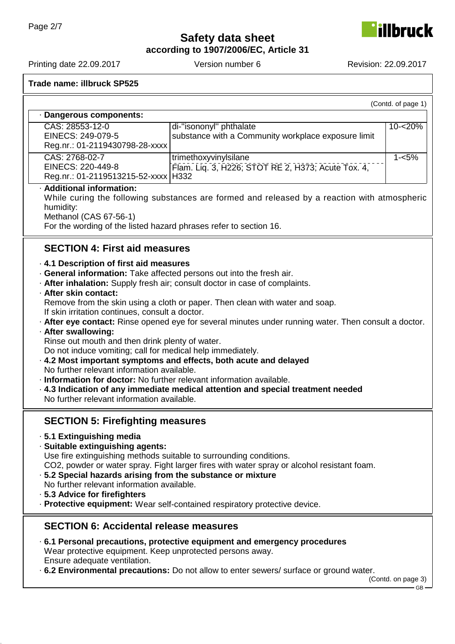**according to 1907/2006/EC, Article 31**

Printing date 22.09.2017 Version number 6 Revision: 22.09.2017

**Trade name: illbruck SP525**

|                                                                                                                                                                                                                                                                                                                                                                                                                                                                                                                                                                                                                                                                                                                                                                                                                                                                                                                                            | (Contd. of page 1)                                                                                                                                                                         |  |  |  |  |
|--------------------------------------------------------------------------------------------------------------------------------------------------------------------------------------------------------------------------------------------------------------------------------------------------------------------------------------------------------------------------------------------------------------------------------------------------------------------------------------------------------------------------------------------------------------------------------------------------------------------------------------------------------------------------------------------------------------------------------------------------------------------------------------------------------------------------------------------------------------------------------------------------------------------------------------------|--------------------------------------------------------------------------------------------------------------------------------------------------------------------------------------------|--|--|--|--|
| · Dangerous components:                                                                                                                                                                                                                                                                                                                                                                                                                                                                                                                                                                                                                                                                                                                                                                                                                                                                                                                    |                                                                                                                                                                                            |  |  |  |  |
| CAS: 28553-12-0<br>EINECS: 249-079-5<br>Reg.nr.: 01-2119430798-28-xxxx                                                                                                                                                                                                                                                                                                                                                                                                                                                                                                                                                                                                                                                                                                                                                                                                                                                                     | di-"isononyl" phthalate<br>$10 - 20%$<br>substance with a Community workplace exposure limit                                                                                               |  |  |  |  |
| CAS: 2768-02-7<br>EINECS: 220-449-8<br>Reg.nr.: 01-2119513215-52-xxxx   H332                                                                                                                                                                                                                                                                                                                                                                                                                                                                                                                                                                                                                                                                                                                                                                                                                                                               | $1 - 5%$<br>trimethoxyvinylsilane<br>Flam. Liq. 3, H226; STOT RE 2, H373; Acute Tox. 4,                                                                                                    |  |  |  |  |
| · Additional information:<br>While curing the following substances are formed and released by a reaction with atmospheric<br>humidity:<br>Methanol (CAS 67-56-1)<br>For the wording of the listed hazard phrases refer to section 16.                                                                                                                                                                                                                                                                                                                                                                                                                                                                                                                                                                                                                                                                                                      |                                                                                                                                                                                            |  |  |  |  |
| <b>SECTION 4: First aid measures</b>                                                                                                                                                                                                                                                                                                                                                                                                                                                                                                                                                                                                                                                                                                                                                                                                                                                                                                       |                                                                                                                                                                                            |  |  |  |  |
| 4.1 Description of first aid measures<br>· General information: Take affected persons out into the fresh air.<br>. After inhalation: Supply fresh air; consult doctor in case of complaints.<br>· After skin contact:<br>Remove from the skin using a cloth or paper. Then clean with water and soap.<br>If skin irritation continues, consult a doctor.<br>. After eye contact: Rinse opened eye for several minutes under running water. Then consult a doctor.<br>· After swallowing:<br>Rinse out mouth and then drink plenty of water.<br>Do not induce vomiting; call for medical help immediately.<br>· 4.2 Most important symptoms and effects, both acute and delayed<br>No further relevant information available.<br>Information for doctor: No further relevant information available.<br>$\cdot$ 4.3 Indication of any immediate medical attention and special treatment needed<br>No further relevant information available. |                                                                                                                                                                                            |  |  |  |  |
| <b>SECTION 5: Firefighting measures</b>                                                                                                                                                                                                                                                                                                                                                                                                                                                                                                                                                                                                                                                                                                                                                                                                                                                                                                    |                                                                                                                                                                                            |  |  |  |  |
| ⋅ 5.1 Extinguishing media<br>· Suitable extinguishing agents:<br>Use fire extinguishing methods suitable to surrounding conditions.<br>CO2, powder or water spray. Fight larger fires with water spray or alcohol resistant foam.<br>5.2 Special hazards arising from the substance or mixture<br>No further relevant information available.<br>· 5.3 Advice for firefighters<br>· Protective equipment: Wear self-contained respiratory protective device.                                                                                                                                                                                                                                                                                                                                                                                                                                                                                |                                                                                                                                                                                            |  |  |  |  |
| <b>SECTION 6: Accidental release measures</b>                                                                                                                                                                                                                                                                                                                                                                                                                                                                                                                                                                                                                                                                                                                                                                                                                                                                                              |                                                                                                                                                                                            |  |  |  |  |
| Wear protective equipment. Keep unprotected persons away.<br>Ensure adequate ventilation.                                                                                                                                                                                                                                                                                                                                                                                                                                                                                                                                                                                                                                                                                                                                                                                                                                                  | ⋅ 6.1 Personal precautions, protective equipment and emergency procedures<br>. 6.2 Environmental precautions: Do not allow to enter sewers/ surface or ground water.<br>(Contd. on page 3) |  |  |  |  |

GB

# **illbruck**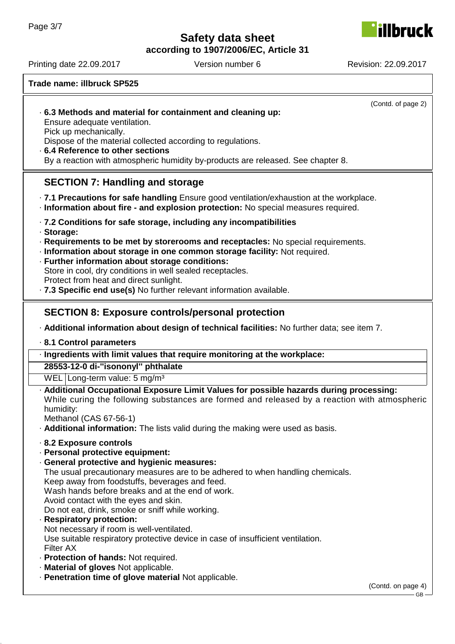**according to 1907/2006/EC, Article 31**

lhru*c* k

Printing date 22.09.2017 Version number 6 Revision: 22.09.2017

| Trade name: illbruck SP525 |  |
|----------------------------|--|
|----------------------------|--|

(Contd. of page 2) · **6.3 Methods and material for containment and cleaning up:** Ensure adequate ventilation. Pick up mechanically. Dispose of the material collected according to regulations. · **6.4 Reference to other sections** By a reaction with atmospheric humidity by-products are released. See chapter 8. **SECTION 7: Handling and storage** · **7.1 Precautions for safe handling** Ensure good ventilation/exhaustion at the workplace. · **Information about fire - and explosion protection:** No special measures required. · **7.2 Conditions for safe storage, including any incompatibilities** · **Storage:** · **Requirements to be met by storerooms and receptacles:** No special requirements. · **Information about storage in one common storage facility:** Not required. · **Further information about storage conditions:** Store in cool, dry conditions in well sealed receptacles. Protect from heat and direct sunlight. · **7.3 Specific end use(s)** No further relevant information available. **SECTION 8: Exposure controls/personal protection** · **Additional information about design of technical facilities:** No further data; see item 7. · **8.1 Control parameters** · **Ingredients with limit values that require monitoring at the workplace: 28553-12-0 di-''isononyl'' phthalate** WEL Long-term value: 5 mg/m<sup>3</sup> · **Additional Occupational Exposure Limit Values for possible hazards during processing:** While curing the following substances are formed and released by a reaction with atmospheric humidity: Methanol (CAS 67-56-1) · **Additional information:** The lists valid during the making were used as basis. · **8.2 Exposure controls** · **Personal protective equipment:** · **General protective and hygienic measures:** The usual precautionary measures are to be adhered to when handling chemicals. Keep away from foodstuffs, beverages and feed. Wash hands before breaks and at the end of work. Avoid contact with the eyes and skin. Do not eat, drink, smoke or sniff while working. · **Respiratory protection:** Not necessary if room is well-ventilated. Use suitable respiratory protective device in case of insufficient ventilation. Filter AX · **Protection of hands:** Not required. · **Material of gloves** Not applicable. · **Penetration time of glove material** Not applicable. (Contd. on page 4)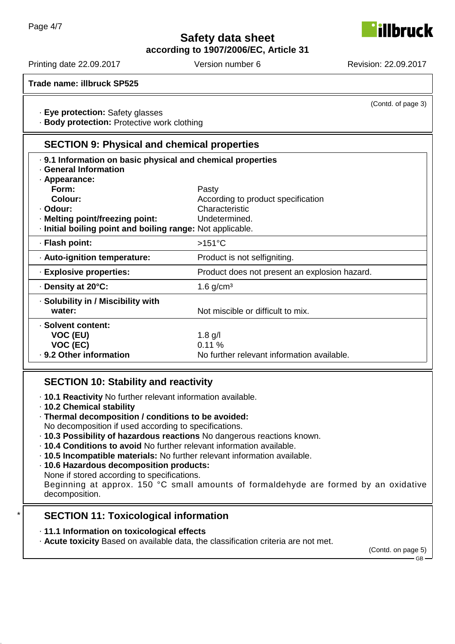**according to 1907/2006/EC, Article 31**



(Contd. of page 3)

Printing date 22.09.2017 Version number 6 Revision: 22.09.2017

**Trade name: illbruck SP525**

· **Eye protection:** Safety glasses

· **Body protection:** Protective work clothing

## **SECTION 9: Physical and chemical properties**

| . 9.1 Information on basic physical and chemical properties<br>· General Information |                                               |  |  |  |  |
|--------------------------------------------------------------------------------------|-----------------------------------------------|--|--|--|--|
| · Appearance:                                                                        |                                               |  |  |  |  |
| Form:                                                                                | Pasty                                         |  |  |  |  |
| Colour:                                                                              | According to product specification            |  |  |  |  |
| · Odour:                                                                             | Characteristic                                |  |  |  |  |
| · Melting point/freezing point:                                                      | Undetermined.                                 |  |  |  |  |
| · Initial boiling point and boiling range: Not applicable.                           |                                               |  |  |  |  |
| · Flash point:                                                                       | $>151^{\circ}$ C                              |  |  |  |  |
| · Auto-ignition temperature:                                                         | Product is not selfigniting.                  |  |  |  |  |
| · Explosive properties:                                                              | Product does not present an explosion hazard. |  |  |  |  |
| ⋅ Density at 20°C:                                                                   | 1.6 $g/cm3$                                   |  |  |  |  |
| · Solubility in / Miscibility with                                                   |                                               |  |  |  |  |
| water:                                                                               | Not miscible or difficult to mix.             |  |  |  |  |
| · Solvent content:                                                                   |                                               |  |  |  |  |
| VOC (EU)                                                                             | $1.8$ g/l                                     |  |  |  |  |
| VOC (EC)                                                                             | 0.11%                                         |  |  |  |  |
| · 9.2 Other information                                                              | No further relevant information available.    |  |  |  |  |

## **SECTION 10: Stability and reactivity**

· **10.1 Reactivity** No further relevant information available.

· **10.2 Chemical stability**

· **Thermal decomposition / conditions to be avoided:** No decomposition if used according to specifications.

- · **10.3 Possibility of hazardous reactions** No dangerous reactions known.
- · **10.4 Conditions to avoid** No further relevant information available.
- · **10.5 Incompatible materials:** No further relevant information available.
- · **10.6 Hazardous decomposition products:**
- None if stored according to specifications.

Beginning at approx. 150 °C small amounts of formaldehyde are formed by an oxidative decomposition.

## **SECTION 11: Toxicological information**

- · **11.1 Information on toxicological effects**
- · **Acute toxicity** Based on available data, the classification criteria are not met.

(Contd. on page 5) GB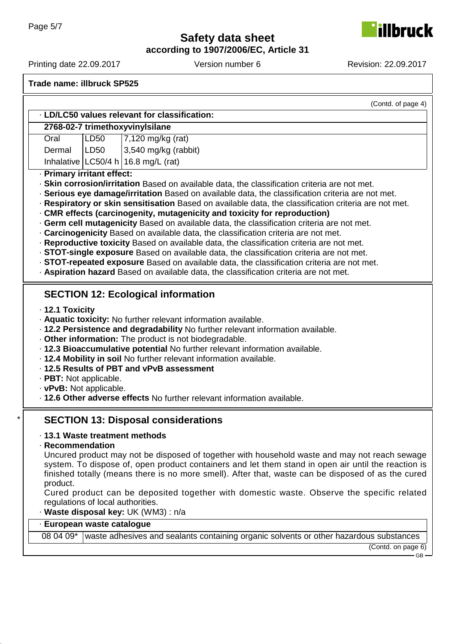**according to 1907/2006/EC, Article 31**

Printing date 22.09.2017 Version number 6 Revision: 22.09.2017

**Trade name: illbruck SP525**

| · LD/LC50 values relevant for classification:     |                                   |                                                                                                                                                                                                                                                                                                                                                                                                                                                                                                                                                                                                                                                                                                                                                                                                                                                                                                                                                             |  |  |  |
|---------------------------------------------------|-----------------------------------|-------------------------------------------------------------------------------------------------------------------------------------------------------------------------------------------------------------------------------------------------------------------------------------------------------------------------------------------------------------------------------------------------------------------------------------------------------------------------------------------------------------------------------------------------------------------------------------------------------------------------------------------------------------------------------------------------------------------------------------------------------------------------------------------------------------------------------------------------------------------------------------------------------------------------------------------------------------|--|--|--|
|                                                   |                                   | 2768-02-7 trimethoxyvinylsilane                                                                                                                                                                                                                                                                                                                                                                                                                                                                                                                                                                                                                                                                                                                                                                                                                                                                                                                             |  |  |  |
| Oral                                              | LD <sub>50</sub>                  | 7,120 mg/kg (rat)                                                                                                                                                                                                                                                                                                                                                                                                                                                                                                                                                                                                                                                                                                                                                                                                                                                                                                                                           |  |  |  |
| Dermal                                            | LD50                              | 3,540 mg/kg (rabbit)                                                                                                                                                                                                                                                                                                                                                                                                                                                                                                                                                                                                                                                                                                                                                                                                                                                                                                                                        |  |  |  |
|                                                   |                                   | Inhalative $ LC50/4 h 16.8 mg/L$ (rat)                                                                                                                                                                                                                                                                                                                                                                                                                                                                                                                                                                                                                                                                                                                                                                                                                                                                                                                      |  |  |  |
| · Primary irritant effect:                        |                                   | · Skin corrosion/irritation Based on available data, the classification criteria are not met.<br>· Serious eye damage/irritation Based on available data, the classification criteria are not met.<br>Respiratory or skin sensitisation Based on available data, the classification criteria are not met.<br>· CMR effects (carcinogenity, mutagenicity and toxicity for reproduction)<br>. Germ cell mutagenicity Based on available data, the classification criteria are not met.<br>· Carcinogenicity Based on available data, the classification criteria are not met.<br>· Reproductive toxicity Based on available data, the classification criteria are not met.<br>· STOT-single exposure Based on available data, the classification criteria are not met.<br>· STOT-repeated exposure Based on available data, the classification criteria are not met.<br>. Aspiration hazard Based on available data, the classification criteria are not met. |  |  |  |
| $\cdot$ 12.1 Toxicity                             |                                   | <b>SECTION 12: Ecological information</b>                                                                                                                                                                                                                                                                                                                                                                                                                                                                                                                                                                                                                                                                                                                                                                                                                                                                                                                   |  |  |  |
| · PBT: Not applicable.<br>· vPvB: Not applicable. |                                   | . Aquatic toxicity: No further relevant information available.<br>. 12.2 Persistence and degradability No further relevant information available.<br>. Other information: The product is not biodegradable.<br>· 12.3 Bioaccumulative potential No further relevant information available.<br>. 12.4 Mobility in soil No further relevant information available.<br>· 12.5 Results of PBT and vPvB assessment<br>. 12.6 Other adverse effects No further relevant information available.                                                                                                                                                                                                                                                                                                                                                                                                                                                                    |  |  |  |
|                                                   |                                   | <b>SECTION 13: Disposal considerations</b>                                                                                                                                                                                                                                                                                                                                                                                                                                                                                                                                                                                                                                                                                                                                                                                                                                                                                                                  |  |  |  |
| · Recommendation<br>product.                      | regulations of local authorities. | · 13.1 Waste treatment methods<br>Uncured product may not be disposed of together with household waste and may not reach sewage<br>system. To dispose of, open product containers and let them stand in open air until the reaction is<br>finished totally (means there is no more smell). After that, waste can be disposed of as the cured<br>Cured product can be deposited together with domestic waste. Observe the specific related                                                                                                                                                                                                                                                                                                                                                                                                                                                                                                                   |  |  |  |
|                                                   |                                   | · Waste disposal key: UK (WM3) : n/a                                                                                                                                                                                                                                                                                                                                                                                                                                                                                                                                                                                                                                                                                                                                                                                                                                                                                                                        |  |  |  |
| · European waste catalogue                        |                                   | 08 04 09* waste adhesives and sealants containing organic solvents or other hazardous substances                                                                                                                                                                                                                                                                                                                                                                                                                                                                                                                                                                                                                                                                                                                                                                                                                                                            |  |  |  |

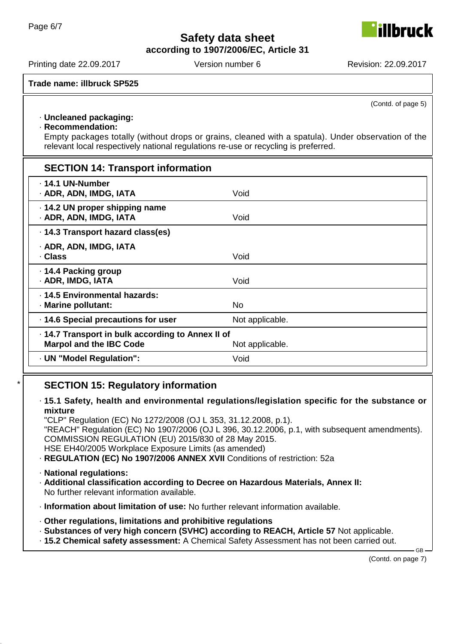**according to 1907/2006/EC, Article 31**

Printing date 22.09.2017 Version number 6 Revision: 22.09.2017

### **Trade name: illbruck SP525**

(Contd. of page 5)

illbruck

#### · **Uncleaned packaging:**

· **Recommendation:**

Empty packages totally (without drops or grains, cleaned with a spatula). Under observation of the relevant local respectively national regulations re-use or recycling is preferred.

| <b>SECTION 14: Transport information</b>                                            |                 |
|-------------------------------------------------------------------------------------|-----------------|
| $\cdot$ 14.1 UN-Number<br>· ADR, ADN, IMDG, IATA                                    | Void            |
| .14.2 UN proper shipping name<br>· ADR, ADN, IMDG, IATA                             | Void            |
| · 14.3 Transport hazard class(es)                                                   |                 |
| · ADR, ADN, IMDG, IATA<br>· Class                                                   | Void            |
| ⋅ 14.4 Packing group<br>· ADR, IMDG, IATA                                           | Void            |
| · 14.5 Environmental hazards:<br>· Marine pollutant:                                | No.             |
| 14.6 Special precautions for user                                                   | Not applicable. |
| . 14.7 Transport in bulk according to Annex II of<br><b>Marpol and the IBC Code</b> | Not applicable. |
| · UN "Model Regulation":                                                            | Void            |

## **SECTION 15: Regulatory information**

· **15.1 Safety, health and environmental regulations/legislation specific for the substance or mixture**

"CLP" Regulation (EC) No 1272/2008 (OJ L 353, 31.12.2008, p.1). "REACH" Regulation (EC) No 1907/2006 (OJ L 396, 30.12.2006, p.1, with subsequent amendments). COMMISSION REGULATION (EU) 2015/830 of 28 May 2015. HSE EH40/2005 Workplace Exposure Limits (as amended)

· **REGULATION (EC) No 1907/2006 ANNEX XVII** Conditions of restriction: 52a

- · **National regulations:**
- · **Additional classification according to Decree on Hazardous Materials, Annex II:** No further relevant information available.
- · **Information about limitation of use:** No further relevant information available.
- · **Other regulations, limitations and prohibitive regulations**
- · **Substances of very high concern (SVHC) according to REACH, Article 57** Not applicable.
- · **15.2 Chemical safety assessment:** A Chemical Safety Assessment has not been carried out.

(Contd. on page 7)

GB